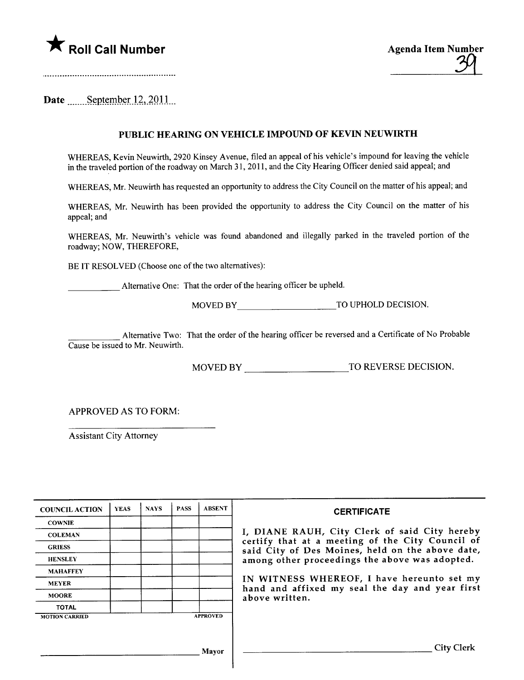

Date  $S$ eptember 12, 2011

## PUBLIC HEARING ON VEHICLE IMPOUND OF KEVIN NEUWIRTH

WHEREAS, Kevin Neuwirh, 2920 Kinsey Avenue, filed an appeal of his vehicle's impound for leaving the vehicle in the traveled portion of the roadway on March 31, 2011, and the City Hearing Officer denied said appeal; and

WHEREAS, Mr. Neuwirth has requested an opportunity to address the City Council on the matter of his appeal; and

WHEREAS, Mr. Neuwirth has been provided the opportunity to address the City Council on the matter of his appeal; and

WHEREAS, Mr. Neuwirth's vehicle was found abandoned and illegally parked in the traveled portion of the roadway; NOW, THEREFORE,

BE IT RESOLVED (Choose one of the two alternatives):

Alternative One: That the order of the hearing officer be upheld.

MOVED BY TO UPHOLD DECISION.

Alternative Two: That the order of the hearing officer be reversed and a Certificate of No Probable Cause be issued to Mr. Neuwirth.

MOVED BY TO REVERSE DECISION.

APPROVED AS TO FORM:

Assistant City Attorney

| <b>COUNCIL ACTION</b> | <b>YEAS</b> | <b>NAYS</b> | <b>PASS</b> | <b>ABSENT</b>   | <b>CERTIFICATE</b>                                                                                                                                     |  |  |
|-----------------------|-------------|-------------|-------------|-----------------|--------------------------------------------------------------------------------------------------------------------------------------------------------|--|--|
| <b>COWNIE</b>         |             |             |             |                 |                                                                                                                                                        |  |  |
| <b>COLEMAN</b>        |             |             |             |                 | I, DIANE RAUH, City Clerk of said City hereby                                                                                                          |  |  |
| <b>GRIESS</b>         |             |             |             |                 | certify that at a meeting of the City Council of<br>said City of Des Moines, held on the above date,<br>among other proceedings the above was adopted. |  |  |
| <b>HENSLEY</b>        |             |             |             |                 |                                                                                                                                                        |  |  |
| <b>MAHAFFEY</b>       |             |             |             |                 |                                                                                                                                                        |  |  |
| <b>MEYER</b>          |             |             |             |                 | IN WITNESS WHEREOF, I have hereunto set my<br>hand and affixed my seal the day and year first                                                          |  |  |
| <b>MOORE</b>          |             |             |             |                 | above written.                                                                                                                                         |  |  |
| <b>TOTAL</b>          |             |             |             |                 |                                                                                                                                                        |  |  |
| <b>MOTION CARRIED</b> |             |             |             | <b>APPROVED</b> |                                                                                                                                                        |  |  |
|                       |             |             |             |                 |                                                                                                                                                        |  |  |
|                       |             |             |             |                 |                                                                                                                                                        |  |  |
|                       |             |             |             | Mayor           | <b>City Clerk</b>                                                                                                                                      |  |  |
|                       |             |             |             |                 |                                                                                                                                                        |  |  |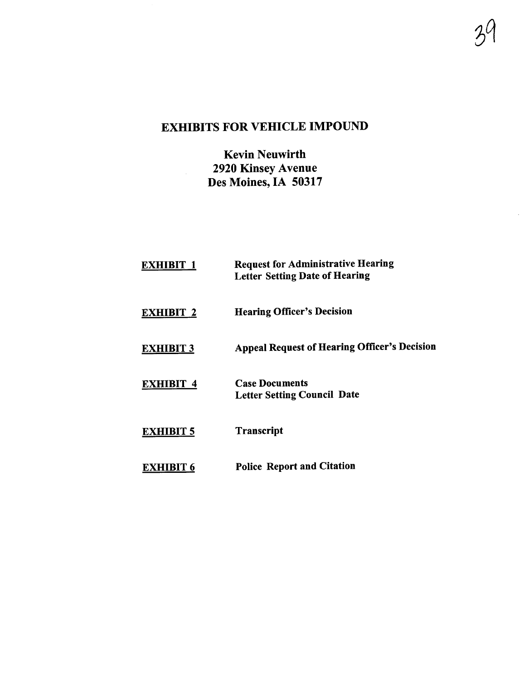# EXHIBITS FOR VEHICLE IMPOUND

 $\mathcal{Y}^{\prime}$ 

Kevin Neuwirth 2920 Kinsey Avenue Des Moines, IA 50317

EXHIBIT<sub>1</sub> EXHIBIT 2 EXHIBIT 3 EXHIBIT 4 EXHIBIT 5 EXHIBIT<sub>6</sub> Request for Administrative Hearing Letter Setting Date of Hearing Hearing Officer's Decision Appeal Request of Hearing Officer's Decision Case Documents Letter Setting Council Date **Transcript** Police Report and Citation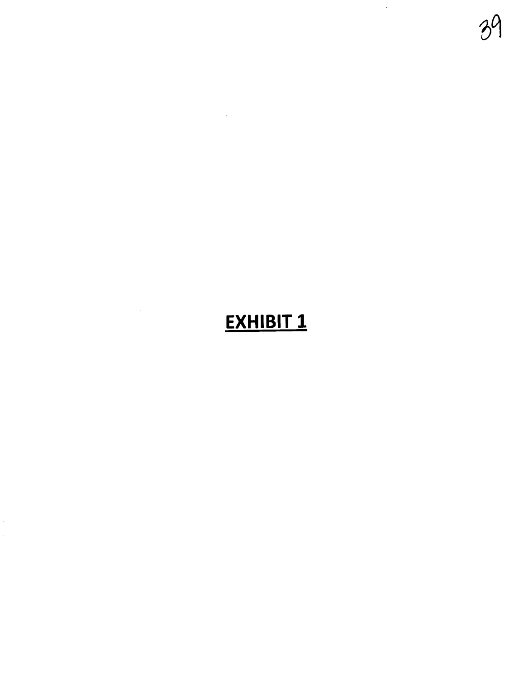# EXHIBIT<sub>1</sub>

39

 $\frac{1}{2}$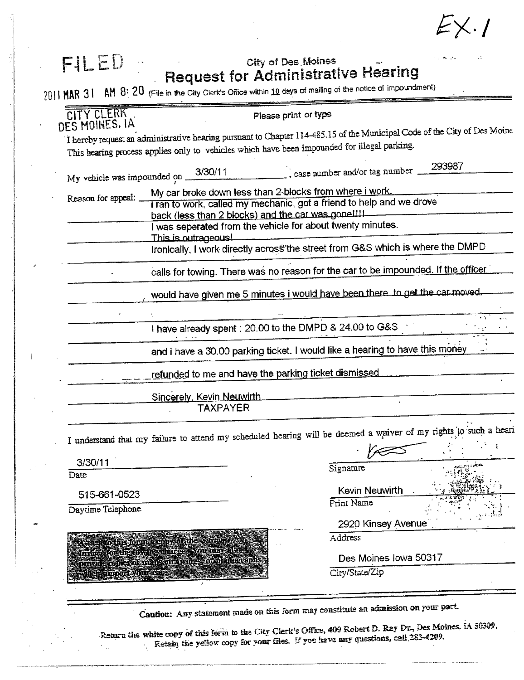$EX.1$ 

| FILED                   |                                                                                                                            | City of Des Moines<br><b>Request for Administrative Hearing</b><br>$2011$ MAR $31$ MM $8:20$ (File in the City Clerk's Office within 10 days of mailing of the notice of impoundment) |  |  |  |  |
|-------------------------|----------------------------------------------------------------------------------------------------------------------------|---------------------------------------------------------------------------------------------------------------------------------------------------------------------------------------|--|--|--|--|
| CITY CLERK              |                                                                                                                            | Please print or type                                                                                                                                                                  |  |  |  |  |
| DES MOINES. IA          | This hearing process applies only to vehicles which have been impounded for illegal parking.                               | I hereby request an administrative hearing pursuant to Chapter 114-485.15 of the Municipal Code of the City of Des Moine                                                              |  |  |  |  |
|                         | My vehicle was impounded on $\frac{3/30/11}{2}$                                                                            | 293987<br>$\sim$ , case number and/or tag number                                                                                                                                      |  |  |  |  |
| Reason for appeal:      | My car broke down less than 2-blocks from where i work.                                                                    |                                                                                                                                                                                       |  |  |  |  |
|                         | I ran to work, called my mechanic, got a friend to help and we drove<br>back (less than 2 blocks) and the car was gone!!!! |                                                                                                                                                                                       |  |  |  |  |
|                         | I was seperated from the vehicle for about twenty minutes.                                                                 |                                                                                                                                                                                       |  |  |  |  |
|                         | This is outrageous!<br>Ironically, I work directly across the street from G&S which is where the DMPD                      |                                                                                                                                                                                       |  |  |  |  |
|                         | calls for towing. There was no reason for the car to be impounded. If the officer                                          |                                                                                                                                                                                       |  |  |  |  |
|                         | would have given me 5 minutes i would have been there to get the car moved.                                                |                                                                                                                                                                                       |  |  |  |  |
|                         | I have already spent : 20.00 to the DMPD & 24.00 to G&S                                                                    |                                                                                                                                                                                       |  |  |  |  |
|                         | and i have a 30.00 parking ticket. I would like a hearing to have this money                                               |                                                                                                                                                                                       |  |  |  |  |
|                         | refunded to me and have the parking ticket dismissed                                                                       |                                                                                                                                                                                       |  |  |  |  |
|                         | Sincerely, Kevin Neuwirth                                                                                                  |                                                                                                                                                                                       |  |  |  |  |
|                         | <b>TAXPAYER</b>                                                                                                            |                                                                                                                                                                                       |  |  |  |  |
|                         |                                                                                                                            | I understand that my failure to attend my scheduled hearing will be deemed a waiver of my rights to such a heari                                                                      |  |  |  |  |
|                         |                                                                                                                            | ÷                                                                                                                                                                                     |  |  |  |  |
|                         |                                                                                                                            |                                                                                                                                                                                       |  |  |  |  |
| 3/30/11                 |                                                                                                                            | Signature                                                                                                                                                                             |  |  |  |  |
|                         |                                                                                                                            |                                                                                                                                                                                       |  |  |  |  |
| Date<br>515-661-0523    |                                                                                                                            | Kevin Neuwirth<br>Print Name                                                                                                                                                          |  |  |  |  |
| Daytime Telephone       |                                                                                                                            |                                                                                                                                                                                       |  |  |  |  |
|                         |                                                                                                                            | 2920 Kinsey Avenue<br>Address                                                                                                                                                         |  |  |  |  |
|                         | Attach to his formula copy of the Chrone<br>invite for the owng charges four unversion                                     | Des Moines Iowa 50317                                                                                                                                                                 |  |  |  |  |
| which simport your case | productives of mansula wites to photographs                                                                                | City/State/Zip                                                                                                                                                                        |  |  |  |  |

Return the white copy of this form to the City Clerk's Office, 409 Robert D. Ray Dr., Des Moines, 1A 50309.<br>Retain the yellow copy for your files. If you have any questions, call 283-4209.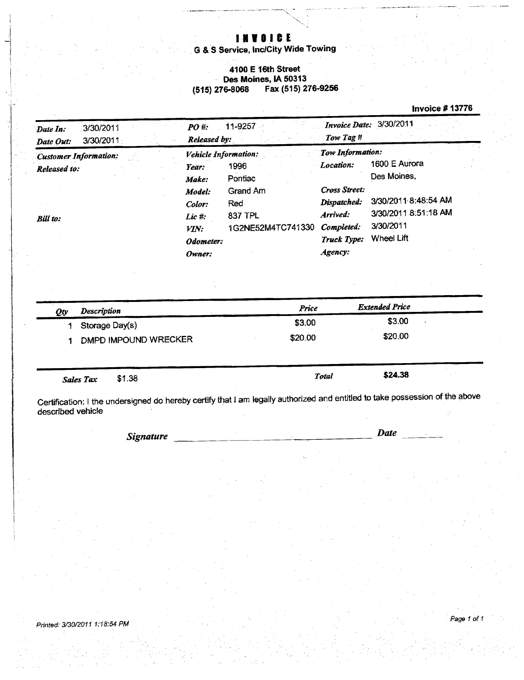# **INVOICE**

G & S Service, Inc/City Wide Towing

### 4100 E 16th Street Des Moines, IA 50313 Fax (515) 276-9256  $(515)$  276-8068

### **Invoice #13776**

| 3/30/2011<br>Date In:<br>3/30/2011<br>Date Out:                 | 11-9257<br>PO#<br>Released by:                                                                                                                                                    | Invoice Date: 3/30/2011<br>Tow Tag #                                                                                                                                                                                                       |
|-----------------------------------------------------------------|-----------------------------------------------------------------------------------------------------------------------------------------------------------------------------------|--------------------------------------------------------------------------------------------------------------------------------------------------------------------------------------------------------------------------------------------|
| <b>Customer Information:</b><br>Released to:<br><b>Bill</b> to: | <b>Vehicle Information:</b><br>1996<br>Year:<br>Pontiac<br>Make:<br>Grand Am<br>Model:<br>Red.<br>Color:<br>837 TPL<br>Lic #:<br>1G2NE52M4TC741330<br>VIN:<br>Odometer:<br>Owner: | Tow Information:<br>1600 E Aurora<br>Location:<br>Des Moines.<br>Cross Street:<br>3/30/2011 8:48:54 AM<br>Dispatched:<br>3/30/2011 8:51:18 AM<br>Arrived:<br>3/30/2011<br>Completed:<br><b>Wheel Lift</b><br><b>Truck Type:</b><br>Agency: |

| Qty | <b>Description</b>         | Price   | <b>Extended Price</b> |  |
|-----|----------------------------|---------|-----------------------|--|
|     | Storage Day(s)             | \$3.00  | \$3.00                |  |
|     | DMPD IMPOUND WRECKER       | \$20.00 | \$20.00               |  |
|     |                            |         |                       |  |
|     | \$1.38<br><b>Sales Tax</b> | Total   | \$24.38               |  |

Certification: I the undersigned do hereby certify that I am legally authorized and entitled to take possession of the above<br>described vehicle

**Signature** 

**Date**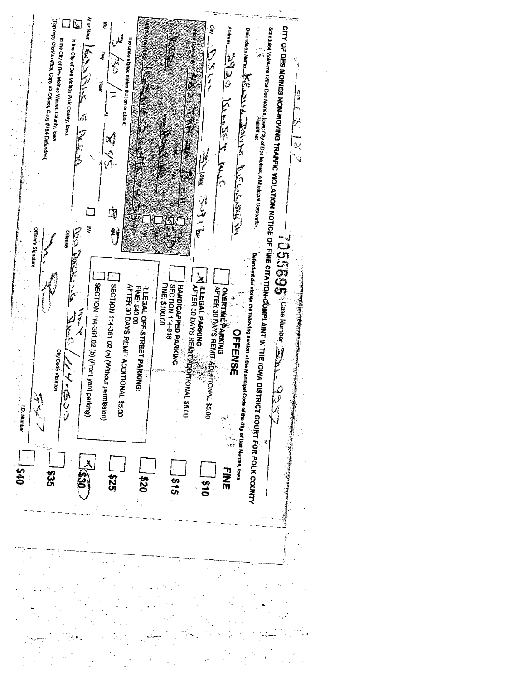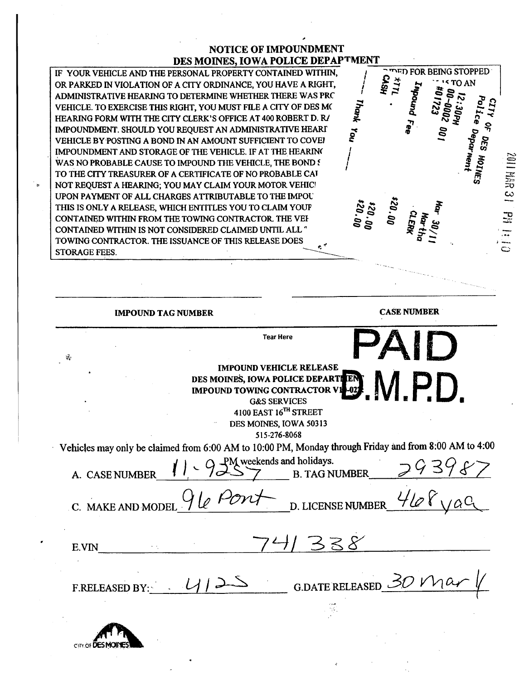# **NOTICE OF IMPOUNDMENT** DES MOINES, IOWA POLICE DEPAPTMENT  $S \overset{\sim}{\rightarrow} S$ <br> $S \overset{\sim}{\rightarrow} S$   $S' \overset{\sim}{\rightarrow} S$ <br> $S$

 $\mathbf{r}_{\mathbf{g}}$ §~

 $\boldsymbol{\tilde{z}}$  ...  $\sim$   $\approx$ c: . c: g

 $\mathbf{r}$ <u>م</u> i I I I

~ ~ .. -- '''TOAN !2~ ~ ~g\_ o - i I\ ~ I\ c: ~ c: "" c: . .

י 102s<br>רגי<br>אשר<br>אפא

30/1<br>|<br>|<br>|<br>| DO

\* <del>ء</del> ع

JOPH<br>1002<br>1002<br>1002<br>1004 l nn

 $25$ "". ~  $\frac{1}{6}$ <sup>ን፡</sup><br>ወ<sub>ዳ</sub>ው<br>አ

 $\overline{10}$ 

**i**<br>HH W

<u>።</u><br>። ة.<br>...

C:

l? fJ 3 .. il è) :3 fo . ∵ ,  $\boldsymbol{\omega}$ 

 $\Omega = \frac{1}{\pi}$ 

IF YOUR VEHICLE AND THE PERSONAL PROPERTY CONTAINED WITHIN, OR PARKED IN VIOLATION OF A CITY ORDINANCE, YOU HAVE A RIGHT, ADMINISTRATIVE HEARING TO DETERMINE WHETHER THERE WAS PRC VEHICLE. TO EXERCISE THIS RIGHT, YOU MUST FILE A CITY OF DES MC HEARING FORM WITH THE CITY CLERK'S OFFICE AT 400 ROBERT D. R/ IMPOUNDMENT. SHOULD YOU REQUEST AN ADMINISTRATIVE HEARI VEHICLE BY POSTING A BOND IN AN AMOUNT SUFFICIENT TO COVE! IMPOUNDMENT AND STORAGE OF THE VEHICLE. IF AT THE HEARING WAS NO PROBABLE CAUSE TO IMPOUND THE VEHICLE, THE BOND f TO THE CITY TREASURER OF A CERTIFICATE OF NO PROBABLE CAT NOT REQUEST A HEARING; YOU MAY CLAIM YOUR MOTOR VEHIC! UPON PAYMENT OF ALL CHARGES ATTRIBUTABLE TO THE IMPOU THIS IS ONLY A RELEASE, WHICH ENTITLES YOU TO CLAIM YOUP CONTAINED WITHIN FROM THE TOWING CONTRACTOR. THE VEH CONTAINED WITHIN IS NOT CONSIDERED CLAIMED UNTIL ALL " TOWING CONTRACTOR. THE ISSUANCE OF THIS RELEASE DOES STORAGE FEES.

IMPOUND TAG NUMBER CASE NUMBER PAID Tear Here  $~\cdot~$ IMPOUND VEHICLE RELEASE<br>IOINES, IOWA POLICE DEPARTLEN<br>UND TOWING CONTRACTOR V1-02. DES MOINES, IOWA POLICE DEPARTI **IMPOUND TOWING CONTRACTOR V.<br>G&S SERVICES** 4100 EAST 16<sup>TH</sup> STREET DES MOINS, IOWA 50313 515-276-8068 Vehicles may only be claimed from 6:00 AM to 10:00 PM, Monday though Friday and from 8:00 AM to 4:00 PM weekends and holidays. A. CASE NUMBER  $\begin{matrix} 1 \\ \end{matrix}$   $\begin{matrix} 1 \\ \end{matrix}$   $\begin{matrix} 2 \\ \end{matrix}$   $\begin{matrix} 3 \\ \end{matrix}$   $\begin{matrix} 7 \\ \end{matrix}$   $\begin{matrix} 6 \\ \end{matrix}$   $\begin{matrix} 1 \\ \end{matrix}$   $\begin{matrix} 1 \\ \end{matrix}$   $\begin{matrix} 3 \\ \end{matrix}$   $\begin{matrix} 1 \\ \end{matrix}$   $\begin{matrix} 1 \\ \end{matrix}$   $\begin{matrix} 3 \\ \end{matrix}$   $\begin{matrix} 1 \\ \end{matrix}$ C. MAKE AND MODEL  $\mathcal{I} \& \sim \mathcal{I} \rightarrow$  D. LICENSE NUMBER  $E.VIN$   $7'1 338$ F.RELEASED BY:  $4/12$  G.DATE RELEASED 30 V



¡t'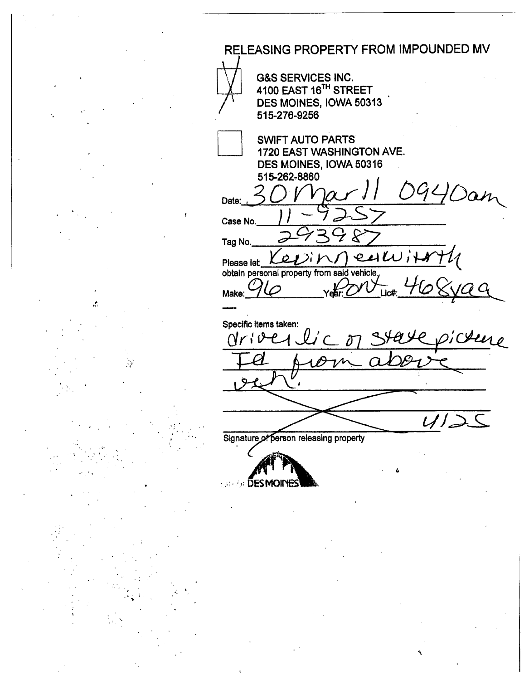RELEASING PROPERTY FROM IMPOUNDED MV **G&S SERVICES INC.** 4100 EAST 16<sup>TH</sup> STREET DES MOINES, IOWA 50313 515-276-9256 **SWIFT AUTO PARTS** 1720 EAST WASHINGTON AVE. DES MOINES, IOWA 50316 515-262-8860 OGL, Dan Date: Case No. Tag No.  $4\mathcal{W}$ ℴ Please let: obtain personal property from said vehicle,  $\cal G$   $\cal G$ Make: Lic# Specific items taken: Here Nr¦i ぞ  $\overline{1}$ Signature of person releasing property *Sale & DESMOINES* 

 $\frac{1}{2}$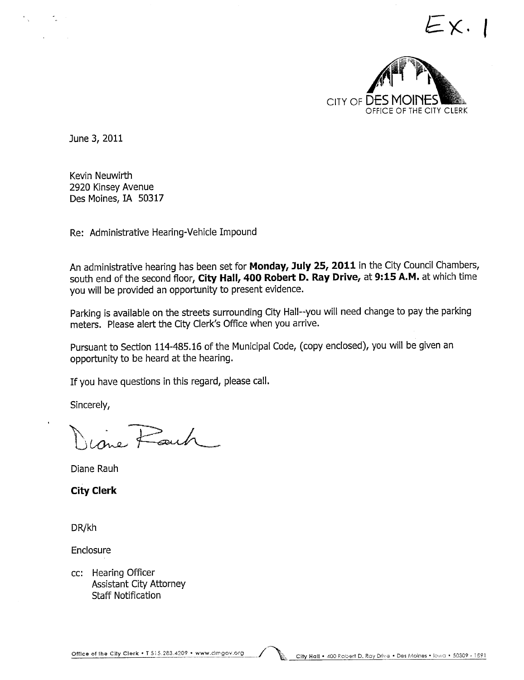

 $=X.$ 

June 3, 2011

Kevin Neuwirth 2920 Kinsey Avenue Des Moines, IA 50317

Re: Administrative Hearing-Vehicle Impound

An administrative hearing has been set for Monday, July 25, 2011 in the City Council Chambers, south end of the second floor, City Hall, 400 Robert D. Ray Drive, at 9:15 A.M. at which time you will be provided an opportunity to present evidence.

Parking is available on the streets surrounding City Hall--you will need change to pay the parking meters. Please alert the City Clerk's Office when you arrive.

Pursuant to Section 114-485.16 of the Municipal Code, (copy enclosed), you wil be given an opportunity to be heard at the hearing.

If you have questions in this regard, please calL.

Sincerely,

 $\overline{R}_{\rm out}$   $\overline{R}_{\rm out}$ 

Diane Rauh

City Clerk

DR/kh

Enclosure

cc: Hearing Officer Assistant City Attorney Staff Notification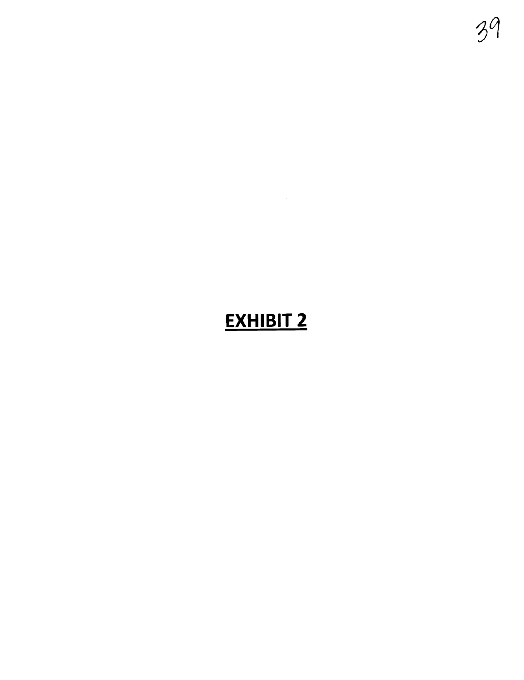# EXHIBIT 2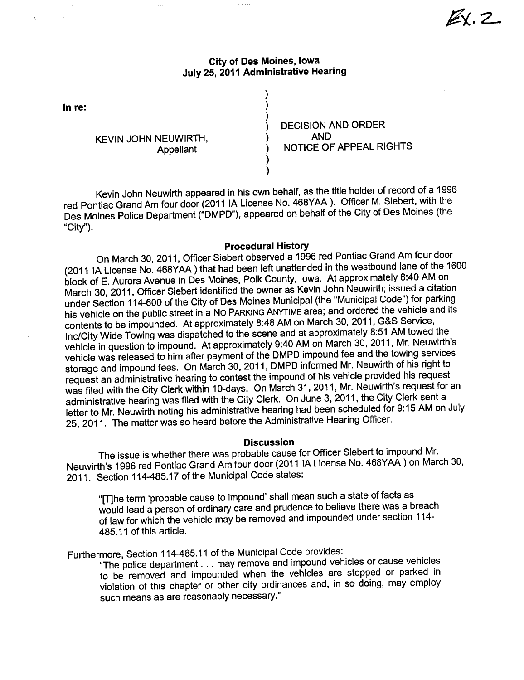## City of Des Moines, Iowa July 25, 2011 Administrative Hearing

) ) )

> ) )

In re:

KEVIN JOHN NEUWIRTH, Appellant

 $\overline{\phantom{a}}$ 

) DECISION AND ORDER<br>) AND<br>) NOTICE OF APPEAL R ) NOTICE OF APPEAL RIGHTS  $Z$ 

Kevin John Neuwirth appeared in his own behalf, as the title holder of record of a 1996 red Pontiac Grand Am four door (2011 IA License No. 468YAA). Officer M. Siebert, with the Des Moines Police Department ("DMPD"), appeared on behalf of the City of Des Moines (the "City").

### Procedural History

On March 30, 2011, Officer Siebert observed a 1996 red Pontiac Grand Am four door<br>(2011 IA License No. 468YAA) that had been left unattended in the westbound lane of the 1600 (2011 IA LICENSE NO. 4661AA) that had been left unattended in the westbound lane of the 1600<br>County of the 1600 M is the 1600 M incorporate language of the new matching of the 1600 M in block of E. Aurora Avenue in Des Moines, Polk County, Iowa. At approximately 8:40 AM on March 30, 2011, Officer Siebert identified the owner as Kevin John Neuwirth; issued a citation under Section 114-600 of the City of Des Moines Municipal (the "Municipal Code") for parking his vehicle on the public street in a No PARKING ANYTIME area; and ordered the vehicle and its contents to be impounded. At approximately 8:48 AM on March 30, 2011, G&S Service, Inc/City Wide Towing was dispatched to the scene and at approximately 8:51 AM towed the vehicle in question to impound. At approximately 9:40 AM on March 30, 2011, Mr. Neuwirth's vehicle was released to him after payment of the DMPD impound fee and the towing services storage and impound fees. On March 30, 2011, DMPD informed Mr. Neuwirth of his right to request an administrative hearing to contest the impound of his vehicle provided his request was filed with the City Clerk within 10-days. On March 31, 2011, Mr. Neuwirth's request for an administrative hearing was filed with the City Clerk. On June 3, 2011, the City Clerk sent a letter to Mr. Neuwirth noting his administrative hearing had been scheduled for 9:15 AM on July 25, 2011. The matter was so heard before the Administrative Hearing Officer.

### **Discussion**

The issue is whether there was probable cause for Officer Siebert to impound Mr. Neuwirth's 1996 red Pontiac Grand Am four door (2011 IA License No. 468YAA) on March 30, 2011. Section 114-485.17 of the Municipal Code states:

"(The term 'probable cause to impound' shall mean such a state of facts as would lead a person of ordinary care and prudence to believe there was a breach of law for which the vehicle may be removed and impounded under section 114- 485.11 of this article.

Furthermore, Section 114-485.11 of the Municipal Code provides:

"The police department. . . may remove and impound vehicles or cause vehicles to be removed and impounded when the vehicles are stopped or parked in violation of this chapter or other city ordinances and, in so doing, may employ such means as are reasonably necessary."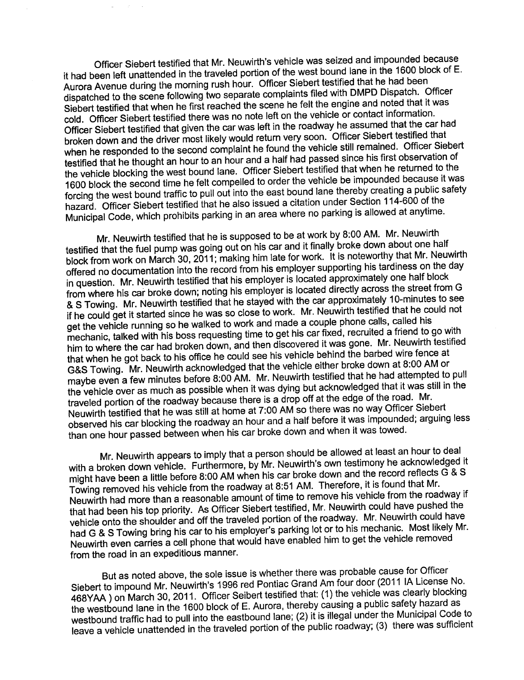Officer Siebert testified that Mr. Neuwirth's vehicle was seized and impounded because it had been left unattended in the traveled portion of the west bound lane in the 1600 block of E. Aurora Avenue during the morning rush hour. Officer Siebert testified that he had been dispatched to the scene following two separate complaints filed with DMPD Dispatch. Officer Siebert testified that when he first reached the scene he felt the engine and noted that it was cold. Officer Siebert testified there was no note left on the vehicle or contact information. Officer Siebert testified that given the car was left in the roadway he assumed that the car had broken down and the driver most likely would return very soon. Officer Siebert testified that when he responded to the second complaint he found the vehicle still remained. Officer Siebert<br>testified that he thought an hour to an hour and a half had passed since his first observation of the vehicle blocking the west bound lane. Officer Siebert testified that when he returned to the 1600 block the second time he felt compelled to order the vehicle be impounded because it was 1600 block the second time he felt compelled to order the vehicle be impounded because it was forcing the west bound traffic to pull out into the east bound lane thereby creating a public safety. hazard. Officer Siebert testified that he also issued a citation under Section 114-600 of the Municipal Code, which prohibits parking in an area where no parking is allowed at anytime.

Mr. Neuwirth testified that he is supposed to be at work by 8:00 AM. Mr. Neuwirth testified that the fuel pump was going out on his car and it finally broke down about one half<br>block from work on March 30, 2011; making him late for work. It is noteworthy that Mr. Neuwirth block from work on March 30, 2011; making him late for work. It is noteworthy that Mr. Neuwirth offered no documentation into the record from his employer supporting his tardiness on the day in question. Mr. Neuwirth testified that his employer is located approximately one half block from where his car broke down; noting his employer is located directly across the street from General from General from General from General from General from General from General from General from General from General fro & S Towing. Mr. Neuwirth testified that he stayed with the car approximately 10-minutes to see if he could get it started since he was so close to work. Mr. Neuwirth testified that he could not get the vehicle running so he walked to work and made a couple phone calls, called his mechanic, talked with his boss requesting time to get his car fixed, recruited a friend to go with mechanic, talked with his boss requesting time to get his car fixed, recruited a friend to go with him to where the car had broken down, and then discovered it was gone. Mr. Neutrich testified<br>https://www.communications.com/www.communications.com/www.communications.com/www.communications.com/www.commun that when he got back to his office he could see his vehicle behind the barbed wire fence at G&S Towing. Mr. Neuwirth acknowledged that the vehicle either broke down at 8:00 AM or maybe even a few minutes before 8:00 AM. Mr. Neuwirth testified that he had attempted to pull the vehicle over as much as possible when it was dying but acknowledged that it was still in the traveled portion of the roadway because there is a drop off at the edge of the road. Mr. Neuwirth testified that he was still at home at 7:00 AM so there was no way Officer Siebert observed his car blocking the roadway an hour and a half before it was impounded; arguing less than one hour passed between when his car broke down and when it was towed.

Mr. Neuwirth appears to imply that a person should be allowed at least an hour to deal<br>with a broken down vehicle. Furthermore, by Mr. Neuwirth's own testimony he acknowledged it with a broken down vehicle. Furthermore, by Mr. Neuwirth's own testimony he acknowledged it might have been a little before 8:00 AM when his car broke down and the record reflects  $G \subset S$ Towing removed his vehicle from the roadway at 8:51 AM. Therefore, it is found that Mr. Neuwirth had more than a reasonable amount of time to remove his vehicle from the roadway if that had been his top priority. As Officer Siebert testified, Mr. Neuwirth could have pushed the vehicle onto the shoulder and off the traveled portion of the roadway. Mr. Neuwirth could have had G & S Towing bring his car to his employer's parking lot or to his mechanic. Most likely Mr. Neuwirth even carries a cell phone that would have enabled him to get the vehicle removed from the road in an expeditious manner.

But as noted above, the sole issue is whether there was probable cause for Officer Siebert to impound Mr. Neuwirth's 1996 red Pontiac Grand Am four door (2011 IA License No. 468YAA ) on March 30, 2011. Officer Seibert testified that: (1) the vehicle was clearly blocking the westbound lane in the 1600 block of E. Aurora, thereby causing a public safety hazard as westbound traffic had to pull into the eastbound lane; (2) it is illegal under the Municipal Code to leave a vehicle unattended in the traveled portion of the public roadway; (3) there was sufficient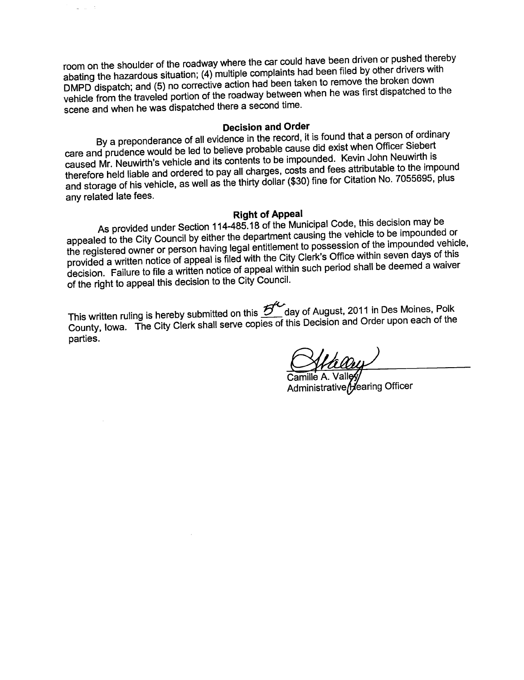room on the shoulder of the roadway where the car could have been driven or pushed thereby abating the hazardous situation; (4) multiple complaints had been filed by other drivers with<br>DMPD dispatch; and (5) no corrective action had been taken to remove the broken down DMPD dispatch; and (5) no corrective action had been taken to remove the broadched to vehicle from the traveled portion of the roadway between when he was made to the contract of the was first dispatched to the was first dispatched to the was first dispatched to the was first dispatched to the was first dis scene and when he was dispatched there a second time.

## Decision and Order

Bya preponderance of all evidence in the record, it is found that a person of ordinary care and prudence would be led to believe probable cause did exist when Officer Siebert caused Mr. Neuwirth's vehicle and its contents to be impounded. Kevin John Neuwirth is therefore held liable and ordered to pay all charges, costs and fees attributable to the impound and storage of his vehicle, as well as the thirty dollar (\$30) fine for Citation No. 7055695, plus any related late fees.

Right of Appeal<br>As provided under Section 114-485.18 of the Municipal Code, this decision may be As provided under Section 114-465.18 of the Municipal Code, the Code constitution of appealed to the City Council by either the department causing the vehicle to be impounded vehicle the registered owner or person having legal entitlement to possession of the impounded vehicle, provided a written notice of appeal is filed with the City Clerk's Office within seven days of this decision. Failure to file a written notice of appeal within such period shall be deemed a waiver of the right to appeal this decision to the City CounciL.

This written ruling is hereby submitted on this  $\overline{\mathcal{B}}^{\prime\prime}$  day of August, 2011 in Des Moines, Polk County, Iowa. The City Clerk shall serve copies of this Decision and Order upon each of the parties.

Camille A. Valley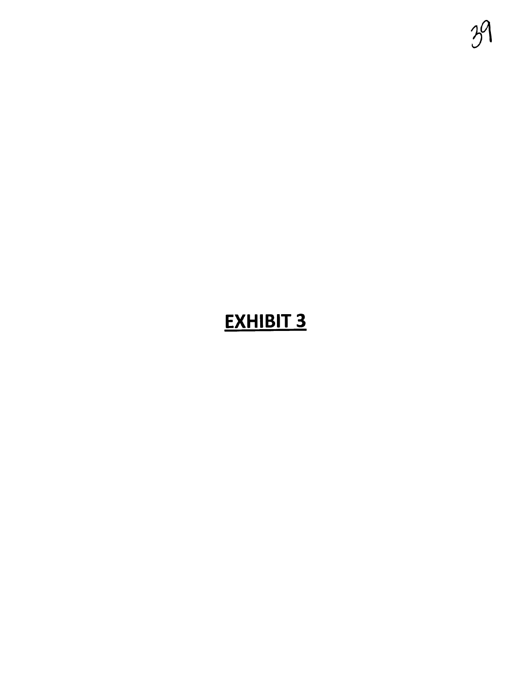

# **EXHIBIT 3**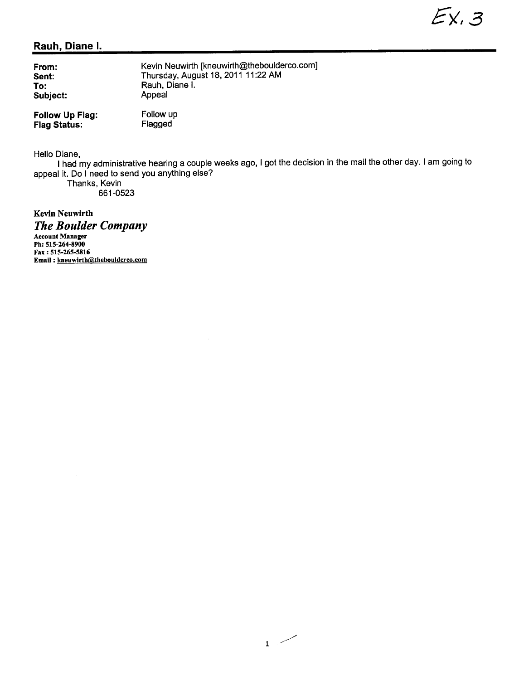# Rauh, Diane i.

| From:           | Kevin Neuwirth [kneuwirth@theboulderco.com] |
|-----------------|---------------------------------------------|
| Sent:           | Thursday, August 18, 2011 11:22 AM          |
| To:             | Rauh, Diane I.                              |
| Subject:        | Appeal                                      |
| Follow Up Flag: | Follow up                                   |

Flagged

Follow Up Flag: Flag Status:

Hello Diane,

I had my administrative hearing a couple weeks ago, I got the decision in the mail the other day. I am going to appeal it. Do i need to send you anything else?

Thanks, Kevin 661-0523

Kevin Neuwirth

The Boulder Company

Account Manager Ph: 515-264-8900 Fax: 515-265-5816 Email: kneuwirth@theboulderco.com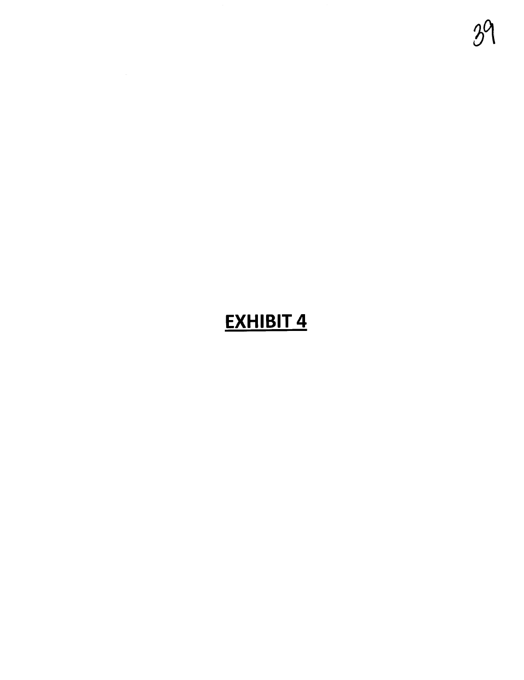# **EXHIBIT 4**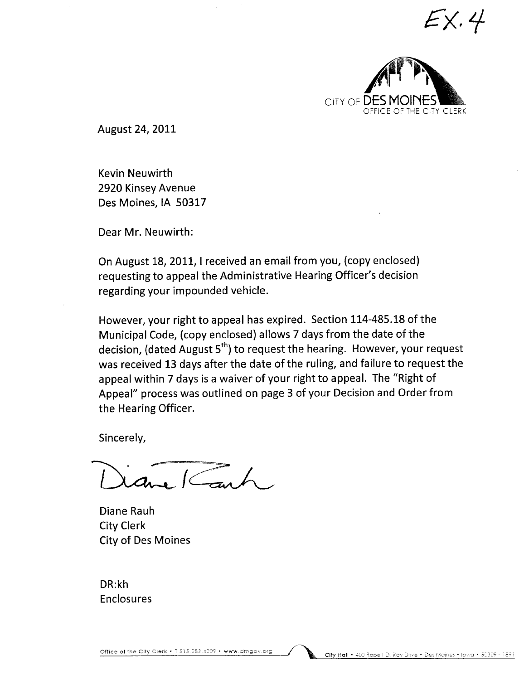$\mathsf{\Sigma} \mathsf{X}$ .4



August 24, 2011

Kevin Neuwirth 2920 Kinsey Avenue Des Moines, IA 50317

Dear Mr. Neuwirth:

On August 18, 2011, I received an email from you, (copy enclosed) requesting to appeal the Administrative Hearing Officer's decision regarding your impounded vehicle.

However, your right to appeal has expired. Section 114-485.18 of the Municipal Code, (copy enclosed) allows 7 days from the date of the decision, (dated August  $5<sup>th</sup>$ ) to request the hearing. However, your request was received 13 days after the date of the ruling, and failure to request the appeal within 7 days is a waiver of your right to appeaL. The "Right of Appeal" process was outlined on page 3 of your Decision and Order from the Hearing Officer.

Sincerely,

 $a_{\bullet}$   $\subset$ 

Diane Rauh City Clerk City of Des Moines

DR:kh Enclosures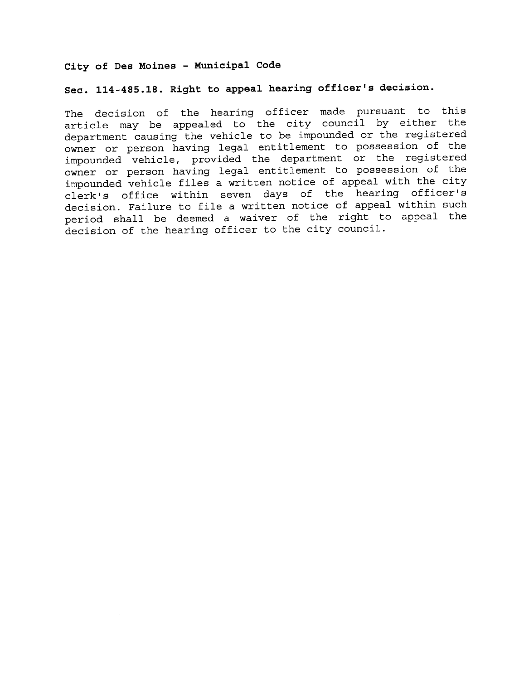## City of Des Moines - Municipal Code

# Sec. 114 -485.18. Right to appeal hearing officer's decision.

The decision of the hearing officer made pursuant to this article may be appealed to the city council by either the department causing the vehicle to be impounded or the registered owner or person having legal entitlement to possession of the impounded vehicle, provided the department or the registered owner or person having legal entitlement to possession of the<br>impounded vehicle files a written notice of appeal with the city clerk's office within seven days of the hearing officer's decision. Failure to file a written notice of appeal within such period shall be deemed a waiver of the right to appeal the decision of the hearing officer to the city council.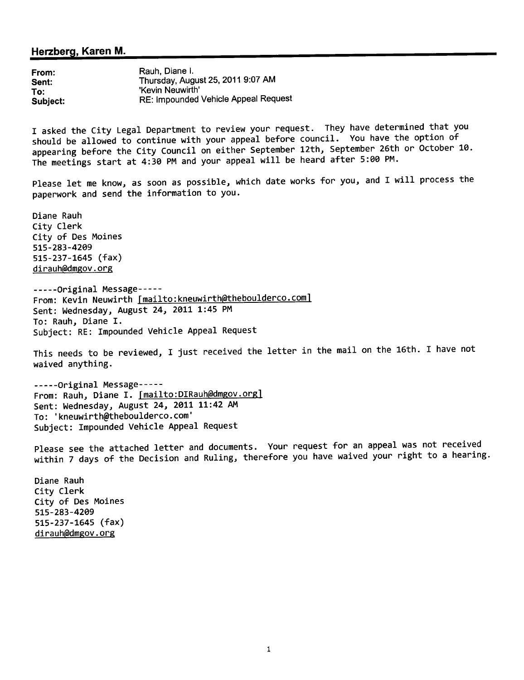## Herzberg, Karen M.

From: Sent: To: Subject: Rauh, Diane i. Thursday, August 25, 2011 9:07 AM 'Kevin Neuwirth' RE: Impounded Vehicle Appeal Request

I asked the City Legal Department to review your request. They have determined that you should be allowed to continue with your appeal before council. You have the option of appearing before the City Council on either September 12th, September 26th or October 10. The meetings start at 4: 30 PM and your appeal will be heard after 5: 00 PM.

Please let me know, as soon as possible, which date works for you, and I will process the paperwork and send the information to you.

Diane Rauh City Clerk City of Des Moines 515-283-4209 515-237-1645 (fax) dirauh(admgov . org

- - - - -Original Message- - - -- From: Kevin Neuwirth [mailto: kneuwirth@theboulderco.com] Sent: Wednesday, August 24, 2011 1:45 PM To: Rauh. Diane I. Subject: RE: Impounded Vehicle Appeal Request

This needs to be reviewed, I just received the letter in the mail on the 16th. I have not waived anything.

- - - - -Original Message- - - -- From: Rauh, Diane I. [mailto:DIRauh@dmgov.org] Sent: Wednesday, August 24, 2011 11:42 AM To: 'kneuwirth@theboulderco.com' Subject: Impounded Vehicle Appeal Request

Please see the attached letter and documents. Your request for an appeal was not received within 7 days of the Decision and Ruling, therefore you have waived your right to a hearing.

Diane Rauh City Clerk City of Des Moines 515-283-4209 515-237-1645 (fax) dirauh@dmgov.org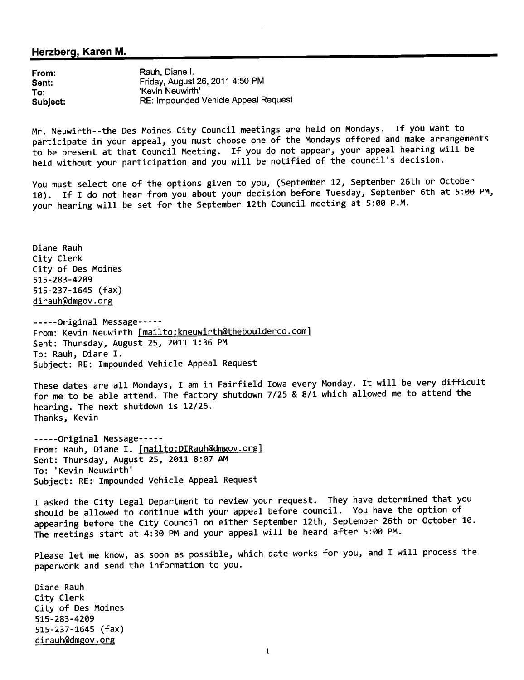## Herzberg, Karen M.

From: Sent: To: Subject: Rauh, Diane i. Friday, August 26, 2011 4:50 PM 'Kevin Neuwirth' RE: Impounded Vehicle Appeal Request

Mr. Neuwirth--the Des Moines City Council meetings are held on Mondays. If you want to participate in your appeal, you must choose one of the Mondays offered and make arrangements to be present at that Council Meeting. If you do not appear, your appeal hearing will be held without your participation and you will be notified of the council's decision.

You must select one of the options given to you, (September 12, September 26th or October 10). If I do not hear from you about your decision before Tuesday, September 6th at 5:00 PM, your hearing will be set for the September 12th Council meeting at 5:00 P.M.

Diane Rauh City Clerk City of Des Moines 515-283-42e9 515-237-1645 (fax) dirauh@dmgov.org

-----Original Message----- From: Kevin Neuwirth [mailto:kneuwirth@theboulderco.com] Sent: Thursday, August 25, 2011 1:36 PM To: Rauh, Diane I. Subject: RE: Impounded Vehicle Appeal Request

These dates are all Mondays, I am in Fairfield Iowa every Monday. It will be very difficult for me to be able attend. The factory shutdown 7/25 & 8/1 which allowed me to attend the hearing. The next shutdown is 12/26. Thanks, Kevin

- - - - -Original Message- - - -- From: Rauh, Diane I. [mailto:DIRauh@dmgov.org] Sent: Thursday, August 25, 2011 8:07 AM To: 'Kevin Neuwirth' Subject: RE: impounded Vehicle Appeal Request

I asked the City Legal Department to review your request. They have determined that you should be allowed to continue with your appeal before council. You have the option of appearing before the City Council on either September 12th, September 26th or October 10. The meetings start at 4:30 PM and your appeal will be heard after 5:00 PM.

Please let me know, as soon as possible, which date works for you, and I will process the paperwork and send the information to you.

Diane Rauh City Clerk City of Des Moines 515-283-42e9 515-237-1645 (fax) dirauh@dmgov.org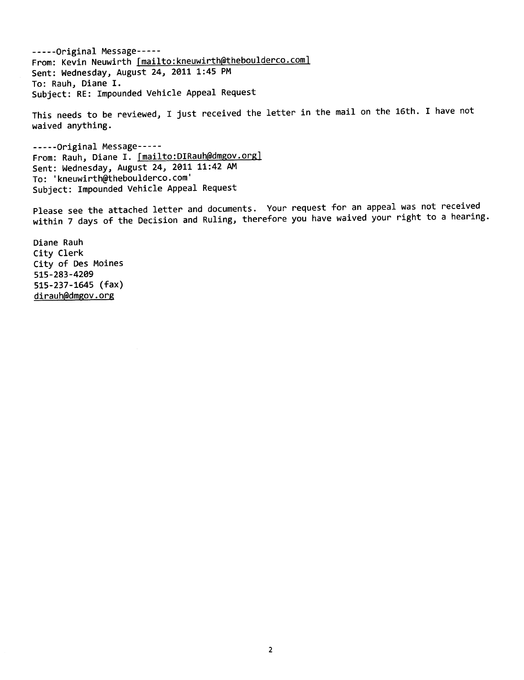- - - - -Original Message- - - -- From: Kevin Neuwirth [mailto:kneuwirth@theboulderco.com] Sent: Wednesday, August 24, 2011 1:45 PM To: Rauh, Diane I. Subject: RE: Impounded Vehicle Appeal Request

This needs to be reviewed, I just received the letter in the mail on the 16th. I have not waived anything.

- - - - -Original Message- - - -- From: Rauh, Diane I. [mailto:DIRauh@dmgov.org] Sent: Wednesday, August 24, 2011 11:42 AM To: 'kneuwirth@theboulderco.com' Subject: Impounded Vehicle Appeal Request

Please see the attached letter and documents. Your request for an appeal was not received within 7 days of the Decision and Ruling, therefore you have waived your right to a hearing.

Diane Rauh City Clerk City of Des Moines 515-283-4209 515-237-1645 (fax) dirauh@dmgov.org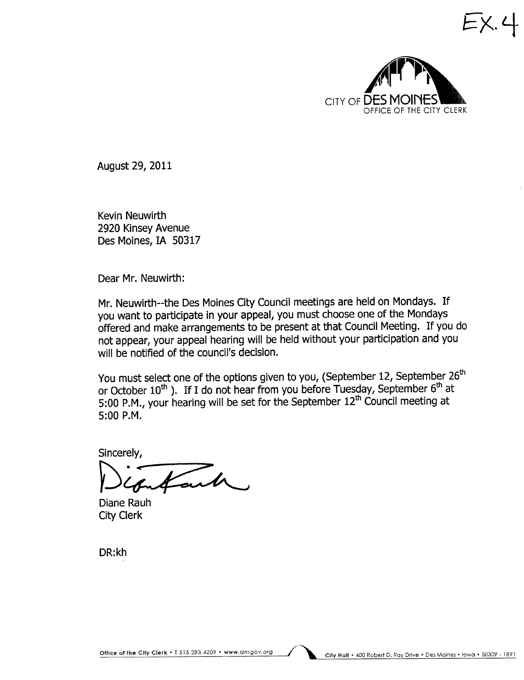

 $X_{\cdot}$ 

August 29, 2011

Kevin Neuwirth 2920 Kinsey Avenue Des Moines, IA 50317

Dear Mr. Neuwirth:

Mr. Neuwirth--the Des Moines City Council meetings are held on Mondays. If you want to participate in your appeal, you must choose one of the Mondays offered and make arrangements to be present at that Council Meeting. If you do not appear, your appeal hearing will be held without your participation and you will be notified of the council's decision.

You must select one of the options given to you, (September 12, September 26<sup>th</sup> or October  $10^{th}$ ). If I do not hear from you before Tuesday, September  $6^{th}$  at 5:00 P.M., your hearing will be set for the September 12th Council meeting at 5:00 P.M.

Sincerely,  $\overline{\text{Cend}}$ 

Diane Rauh City Clerk

DR:kh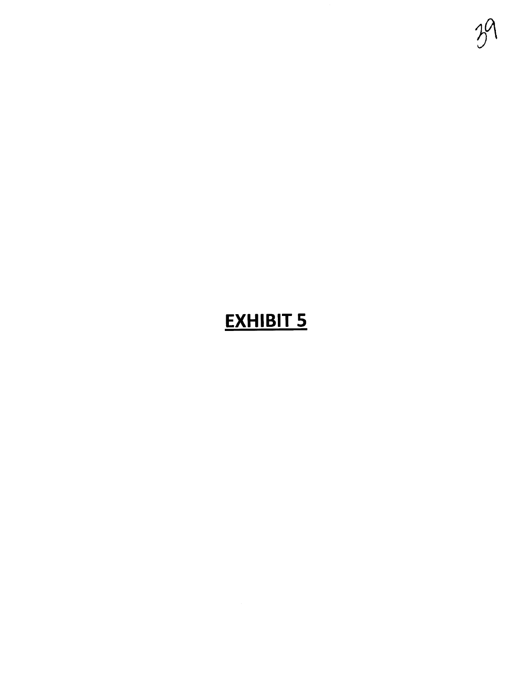

# **EXHIBIT 5**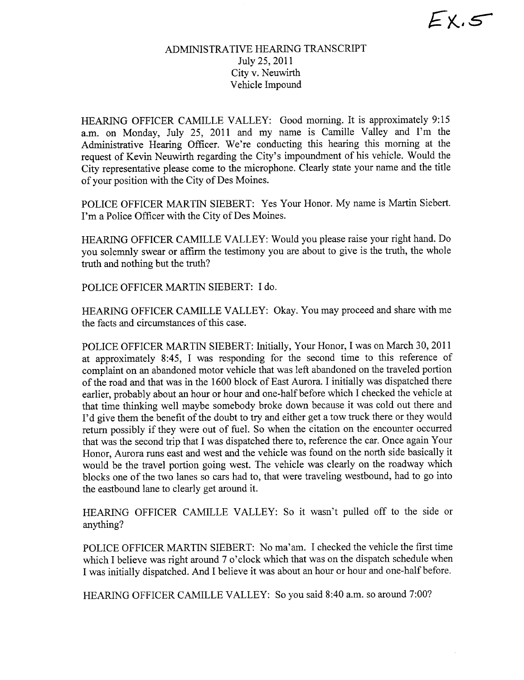# ADMINISTRATIVE HEARING TRANSCRIPT July 25,2011 City v. Neuwirth Vehicle Impound

HEARING OFFICER CAMILLE VALLEY: Good morning. It is approximately 9:15 a.m. on Monday, July 25, 2011 and my name is Camile Valley and I'm the Administrative Hearing Officer. We're conducting this hearing this morning at the request of Kevin Neuwirth regarding the City's impoundment of his vehicle. Would the City representative please come to the microphone. Clearly state your name and the title of your position with the City of Des Moines.

POLICE OFFICER MARTIN SIEBERT: Yes Your Honor. My name is Marin Siebert. I'm a Police Officer with the City of Des Moines.

HEARING OFFICER CAMILLE VALLEY: Would you please raise your right hand. Do you solemnly swear or affirm the testimony you are about to give is the truth, the whole truth and nothing but the truth?

POLICE OFFICER MATIN SIEBERT: I do.

HEARING OFFICER CAMILLE VALLEY: Okay. You may proceed and share with me the facts and circumstances of this case.

POLICE OFFICER MARTIN SIEBERT: Intially, Your Honor, I was on March 30,2011 at approximately 8:45, I was responding for the second time to this reference of complaint on an abandoned motor vehicle that was left abandoned on the traveled portion of the road and that was in the 1600 block of East Aurora. I initially was dispatched there earlier, probably about an hour or hour and one-half before which I checked the vehicle at that time thinking well maybe somebody broke down because it was cold out there and I'd give them the benefit of the doubt to try and either get a tow truck there or they would return possibly if they were out of fuel. So when the citation on the encounter occurred that was the second trip that I was dispatched there to, reference the car. Once again Your Honor, Aurora runs east and west and the vehicle was found on the north side basically it would be the travel portion going west. The vehicle was clearly on the roadway which blocks one of the two lanes so cars had to, that were traveling westbound, had to go into the eastbound lane to clearly get around it.

HEARING OFFICER CAMILLE VALLEY: So it wasn't pulled off to the side or anything?

POLICE OFFICER MARTIN SIEBERT: No ma'am. I checked the vehicle the first time which I believe was right around 7 o'clock which that was on the dispatch schedule when I was initially dispatched. And I believe it was about an hour or hour and one-half before.

HEARING OFFICER CAMILLE VALLEY: So you said 8:40 a.m. so around 7:00?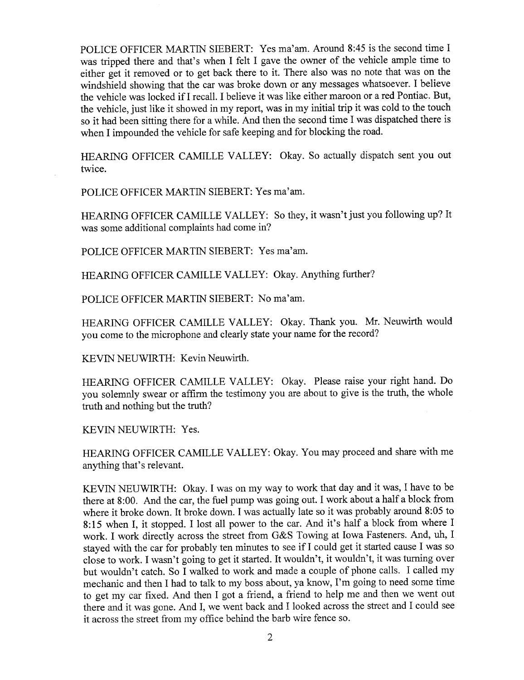POLICE OFFICER MARTIN SIEBERT: Yes ma'am. Around 8:45 is the second time I was tripped there and that's when I felt I gave the owner of the vehicle ample time to either get it removed or to get back there to it. There also was no note that was on the windshield showing that the car was broke down or any messages whatsoever. I believe the vehicle was locked if I recall. I believe it was like either maroon or a red Pontiac. But, the vehicle, just like it showed in my report, was in my initial trip it was cold to the touch so it had been sitting there for a while. And then the second time I was dispatched there is when I impounded the vehicle for safe keeping and for blocking the road.

HEARING OFFICER CAMILLE VALLEY: Okay. So actually dispatch sent you out twice.

POLICE OFFICER MARTIN SIEBERT: Yes ma'am.

HEARING OFFICER CAMILLE VALLEY: So they, it wasn't just you following up? It was some additional complaints had come in?

POLICE OFFICER MARTIN SIEBERT: Yes ma'am.

HEARING OFFICER CAMILLE VALLEY: Okay. Anything further?

POLICE OFFICER MARTIN SIEBERT: No ma'am.

HEARING OFFICER CAMILLE VALLEY: Okay. Thank you. Mr. Neuwirth would you come to the microphone and clearly state your name for the record?

KEVIN NEUWIRTH: Kevin Neuwirth.

HEARING OFFICER CAMILLE VALLEY: Okay. Please raise your right hand. Do you solemnly swear or affirm the testimony you are about to give is the truth, the whole truth and nothing but the truth?

KEVIN NEUWIRTH: Yes.

HEARING OFFICER CAMILLE VALLEY: Okay. You may proceed and share with me anything that's relevant.

KEVIN NEUWIRTH: Okay. I was on my way to work that day and it was, I have to be there at 8:00. And the car, the fuel pump was going out. I work about a half a block from where it broke down. It broke down. I was actually late so it was probably around 8:05 to 8:15 when I, it stopped. I lost all power to the car. And it's half a block from where I work. I work directly across the street from G&S Towing at Iowa Fasteners. And, uh, I stayed with the car for probably ten minutes to see if I could get it stared cause I was so close to work. I wasn't going to get it started. It wouldn't, it wouldn't, it was turning over but wouldn't catch. So I walked to work and made a couple of phone calls. I called my mechanic and then I had to talk to my boss about, ya know, I'm going to need some time to get my car fixed. And then I got a friend, a friend to help me and then we went out there and it was gone. And I, we went back and I looked across the street and I could see it across the street from my office behind the barb wire fence so.